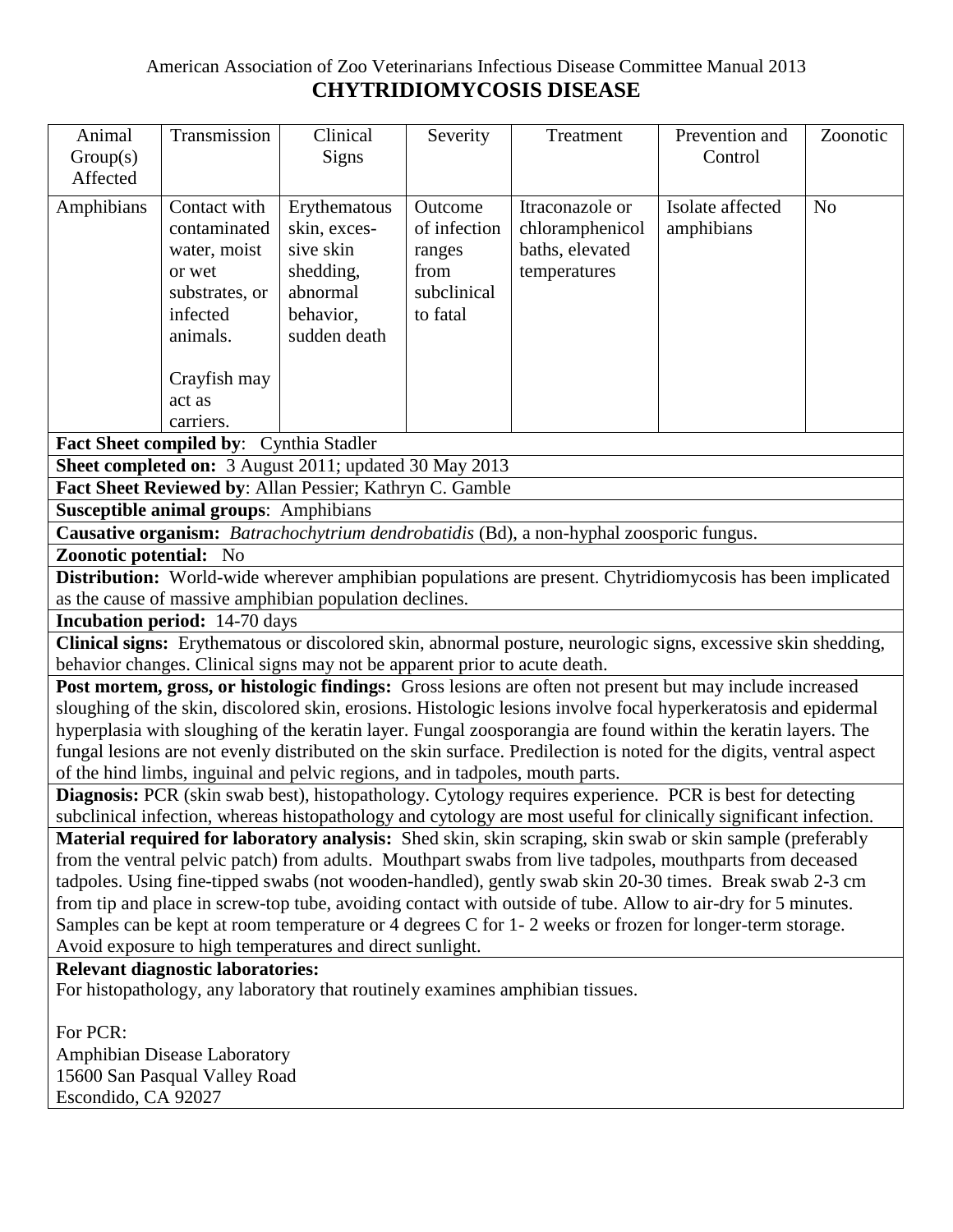## American Association of Zoo Veterinarians Infectious Disease Committee Manual 2013 **CHYTRIDIOMYCOSIS DISEASE**

| Animal<br>Group(s)                                                                                                                                                                                                                                                                                                                                                                                                                                                                                                                                    | Transmission                                                                                     | Clinical<br>Signs                                                                               | Severity                                                             | Treatment                                                             | Prevention and<br>Control      | Zoonotic       |  |  |
|-------------------------------------------------------------------------------------------------------------------------------------------------------------------------------------------------------------------------------------------------------------------------------------------------------------------------------------------------------------------------------------------------------------------------------------------------------------------------------------------------------------------------------------------------------|--------------------------------------------------------------------------------------------------|-------------------------------------------------------------------------------------------------|----------------------------------------------------------------------|-----------------------------------------------------------------------|--------------------------------|----------------|--|--|
| Affected                                                                                                                                                                                                                                                                                                                                                                                                                                                                                                                                              |                                                                                                  |                                                                                                 |                                                                      |                                                                       |                                |                |  |  |
| Amphibians                                                                                                                                                                                                                                                                                                                                                                                                                                                                                                                                            | Contact with<br>contaminated<br>water, moist<br>or wet<br>substrates, or<br>infected<br>animals. | Erythematous<br>skin, exces-<br>sive skin<br>shedding,<br>abnormal<br>behavior,<br>sudden death | Outcome<br>of infection<br>ranges<br>from<br>subclinical<br>to fatal | Itraconazole or<br>chloramphenicol<br>baths, elevated<br>temperatures | Isolate affected<br>amphibians | N <sub>o</sub> |  |  |
|                                                                                                                                                                                                                                                                                                                                                                                                                                                                                                                                                       | Crayfish may<br>act as<br>carriers.                                                              |                                                                                                 |                                                                      |                                                                       |                                |                |  |  |
| Fact Sheet compiled by: Cynthia Stadler                                                                                                                                                                                                                                                                                                                                                                                                                                                                                                               |                                                                                                  |                                                                                                 |                                                                      |                                                                       |                                |                |  |  |
| <b>Sheet completed on:</b> 3 August 2011; updated 30 May 2013<br>Fact Sheet Reviewed by: Allan Pessier; Kathryn C. Gamble                                                                                                                                                                                                                                                                                                                                                                                                                             |                                                                                                  |                                                                                                 |                                                                      |                                                                       |                                |                |  |  |
| <b>Susceptible animal groups: Amphibians</b>                                                                                                                                                                                                                                                                                                                                                                                                                                                                                                          |                                                                                                  |                                                                                                 |                                                                      |                                                                       |                                |                |  |  |
| Causative organism: Batrachochytrium dendrobatidis (Bd), a non-hyphal zoosporic fungus.                                                                                                                                                                                                                                                                                                                                                                                                                                                               |                                                                                                  |                                                                                                 |                                                                      |                                                                       |                                |                |  |  |
| <b>Zoonotic potential:</b> No                                                                                                                                                                                                                                                                                                                                                                                                                                                                                                                         |                                                                                                  |                                                                                                 |                                                                      |                                                                       |                                |                |  |  |
| <b>Distribution:</b> World-wide wherever amphibian populations are present. Chytridiomycosis has been implicated                                                                                                                                                                                                                                                                                                                                                                                                                                      |                                                                                                  |                                                                                                 |                                                                      |                                                                       |                                |                |  |  |
| as the cause of massive amphibian population declines.                                                                                                                                                                                                                                                                                                                                                                                                                                                                                                |                                                                                                  |                                                                                                 |                                                                      |                                                                       |                                |                |  |  |
| <b>Incubation period:</b> 14-70 days                                                                                                                                                                                                                                                                                                                                                                                                                                                                                                                  |                                                                                                  |                                                                                                 |                                                                      |                                                                       |                                |                |  |  |
| Clinical signs: Erythematous or discolored skin, abnormal posture, neurologic signs, excessive skin shedding,                                                                                                                                                                                                                                                                                                                                                                                                                                         |                                                                                                  |                                                                                                 |                                                                      |                                                                       |                                |                |  |  |
| behavior changes. Clinical signs may not be apparent prior to acute death.                                                                                                                                                                                                                                                                                                                                                                                                                                                                            |                                                                                                  |                                                                                                 |                                                                      |                                                                       |                                |                |  |  |
| Post mortem, gross, or histologic findings: Gross lesions are often not present but may include increased<br>sloughing of the skin, discolored skin, erosions. Histologic lesions involve focal hyperkeratosis and epidermal<br>hyperplasia with sloughing of the keratin layer. Fungal zoosporangia are found within the keratin layers. The<br>fungal lesions are not evenly distributed on the skin surface. Predilection is noted for the digits, ventral aspect<br>of the hind limbs, inguinal and pelvic regions, and in tadpoles, mouth parts. |                                                                                                  |                                                                                                 |                                                                      |                                                                       |                                |                |  |  |
| Diagnosis: PCR (skin swab best), histopathology. Cytology requires experience. PCR is best for detecting<br>subclinical infection, whereas histopathology and cytology are most useful for clinically significant infection.                                                                                                                                                                                                                                                                                                                          |                                                                                                  |                                                                                                 |                                                                      |                                                                       |                                |                |  |  |
| Material required for laboratory analysis: Shed skin, skin scraping, skin swab or skin sample (preferably                                                                                                                                                                                                                                                                                                                                                                                                                                             |                                                                                                  |                                                                                                 |                                                                      |                                                                       |                                |                |  |  |
| from the ventral pelvic patch) from adults. Mouthpart swabs from live tadpoles, mouthparts from deceased<br>tadpoles. Using fine-tipped swabs (not wooden-handled), gently swab skin 20-30 times. Break swab 2-3 cm                                                                                                                                                                                                                                                                                                                                   |                                                                                                  |                                                                                                 |                                                                      |                                                                       |                                |                |  |  |
| from tip and place in screw-top tube, avoiding contact with outside of tube. Allow to air-dry for 5 minutes.                                                                                                                                                                                                                                                                                                                                                                                                                                          |                                                                                                  |                                                                                                 |                                                                      |                                                                       |                                |                |  |  |
| Samples can be kept at room temperature or 4 degrees C for 1-2 weeks or frozen for longer-term storage.                                                                                                                                                                                                                                                                                                                                                                                                                                               |                                                                                                  |                                                                                                 |                                                                      |                                                                       |                                |                |  |  |
| Avoid exposure to high temperatures and direct sunlight.                                                                                                                                                                                                                                                                                                                                                                                                                                                                                              |                                                                                                  |                                                                                                 |                                                                      |                                                                       |                                |                |  |  |
| <b>Relevant diagnostic laboratories:</b>                                                                                                                                                                                                                                                                                                                                                                                                                                                                                                              |                                                                                                  |                                                                                                 |                                                                      |                                                                       |                                |                |  |  |
| For histopathology, any laboratory that routinely examines amphibian tissues.                                                                                                                                                                                                                                                                                                                                                                                                                                                                         |                                                                                                  |                                                                                                 |                                                                      |                                                                       |                                |                |  |  |
| For PCR:                                                                                                                                                                                                                                                                                                                                                                                                                                                                                                                                              |                                                                                                  |                                                                                                 |                                                                      |                                                                       |                                |                |  |  |
|                                                                                                                                                                                                                                                                                                                                                                                                                                                                                                                                                       |                                                                                                  | Amphibian Disease Laboratory                                                                    |                                                                      |                                                                       |                                |                |  |  |

Amphibian Disease Laboratory 15600 San Pasqual Valley Road Escondido, CA 92027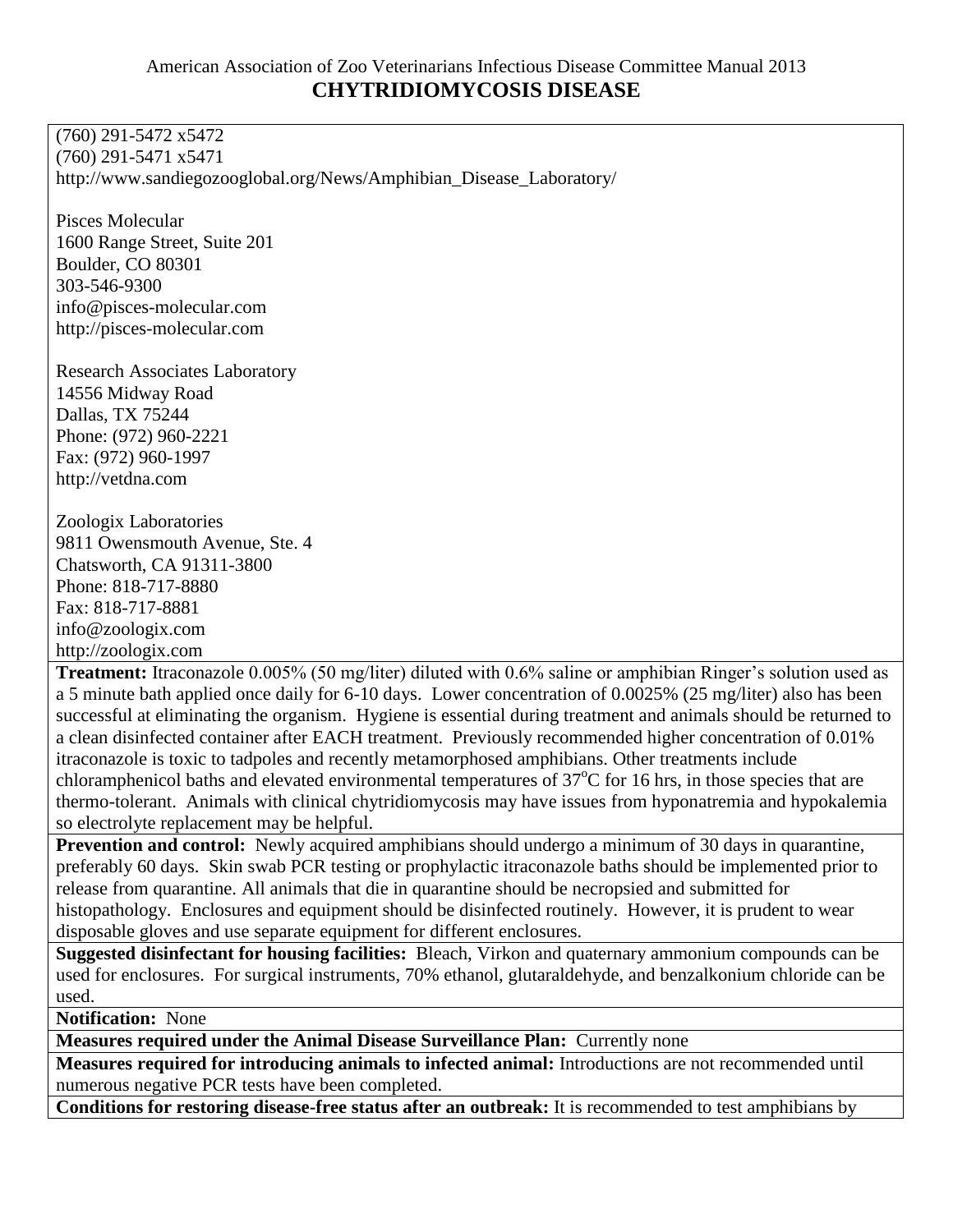(760) 291-5472 x5472 (760) 291-5471 x5471 [http://www.sandiegozooglobal.org/News/Amphibian\\_Disease\\_Laboratory/](http://www.sandiegozooglobal.org/News/Amphibian_Disease_Laboratory/)

Pisces Molecular 1600 Range Street, Suite 201 Boulder, CO 80301 303-546-9300 info@pisces-molecular.com [http://pisces-molecular.com](http://pisces-molecular.com/)

Research Associates Laboratory 14556 Midway Road Dallas, TX 75244 Phone: (972) 960-2221 Fax: (972) 960-1997 [http://vetdna.com](http://vetdna.com/)

Zoologix Laboratories 9811 Owensmouth Avenue, Ste. 4 Chatsworth, CA 91311-3800 Phone: 818-717-8880 Fax: 818-717-8881 info@zoologix.com [http://zoologix.com](http://zoologix.com/)

**Treatment:** Itraconazole 0.005% (50 mg/liter) diluted with 0.6% saline or amphibian Ringer's solution used as a 5 minute bath applied once daily for 6-10 days. Lower concentration of 0.0025% (25 mg/liter) also has been successful at eliminating the organism. Hygiene is essential during treatment and animals should be returned to a clean disinfected container after EACH treatment. Previously recommended higher concentration of 0.01% itraconazole is toxic to tadpoles and recently metamorphosed amphibians. Other treatments include chloramphenicol baths and elevated environmental temperatures of  $37^{\circ}$ C for 16 hrs, in those species that are thermo-tolerant. Animals with clinical chytridiomycosis may have issues from hyponatremia and hypokalemia so electrolyte replacement may be helpful.

**Prevention and control:** Newly acquired amphibians should undergo a minimum of 30 days in quarantine, preferably 60 days. Skin swab PCR testing or prophylactic itraconazole baths should be implemented prior to release from quarantine. All animals that die in quarantine should be necropsied and submitted for histopathology. Enclosures and equipment should be disinfected routinely. However, it is prudent to wear disposable gloves and use separate equipment for different enclosures.

**Suggested disinfectant for housing facilities:** Bleach, Virkon and quaternary ammonium compounds can be used for enclosures. For surgical instruments, 70% ethanol, glutaraldehyde, and benzalkonium chloride can be used.

**Notification:** None

**Measures required under the Animal Disease Surveillance Plan:** Currently none

**Measures required for introducing animals to infected animal:** Introductions are not recommended until numerous negative PCR tests have been completed.

**Conditions for restoring disease-free status after an outbreak:** It is recommended to test amphibians by